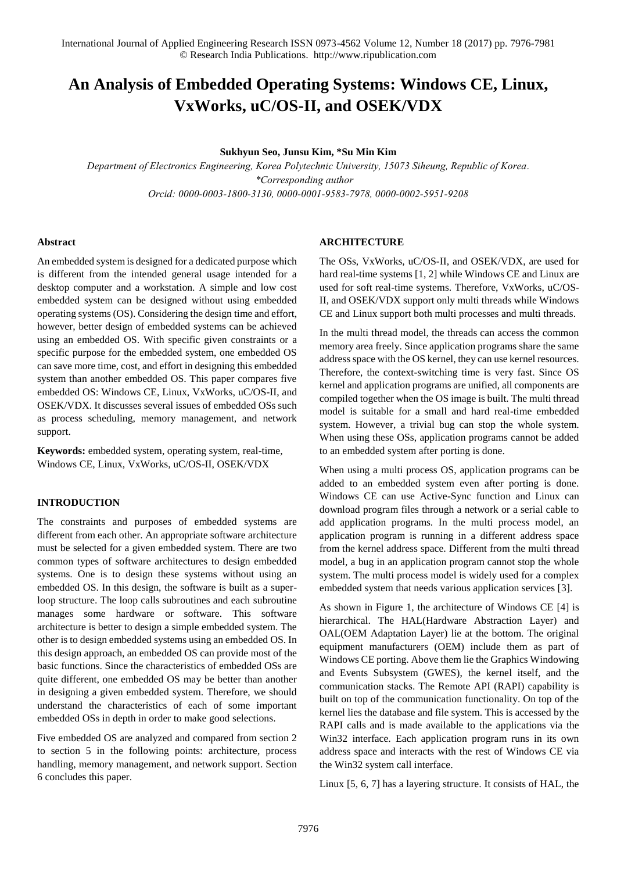# **An Analysis of Embedded Operating Systems: Windows CE, Linux, VxWorks, uC/OS-II, and OSEK/VDX**

**Sukhyun Seo, Junsu Kim, \*Su Min Kim** 

*Department of Electronics Engineering, Korea Polytechnic University, 15073 Siheung, Republic of Korea. \*Corresponding author Orcid: 0000-0003-1800-3130, 0000-0001-9583-7978, 0000-0002-5951-9208*

#### **Abstract**

An embedded system is designed for a dedicated purpose which is different from the intended general usage intended for a desktop computer and a workstation. A simple and low cost embedded system can be designed without using embedded operating systems (OS). Considering the design time and effort, however, better design of embedded systems can be achieved using an embedded OS. With specific given constraints or a specific purpose for the embedded system, one embedded OS can save more time, cost, and effort in designing this embedded system than another embedded OS. This paper compares five embedded OS: Windows CE, Linux, VxWorks, uC/OS-II, and OSEK/VDX. It discusses several issues of embedded OSs such as process scheduling, memory management, and network support.

**Keywords:** embedded system, operating system, real-time, Windows CE, Linux, VxWorks, uC/OS-II, OSEK/VDX

### **INTRODUCTION**

The constraints and purposes of embedded systems are different from each other. An appropriate software architecture must be selected for a given embedded system. There are two common types of software architectures to design embedded systems. One is to design these systems without using an embedded OS. In this design, the software is built as a superloop structure. The loop calls subroutines and each subroutine manages some hardware or software. This software architecture is better to design a simple embedded system. The other is to design embedded systems using an embedded OS. In this design approach, an embedded OS can provide most of the basic functions. Since the characteristics of embedded OSs are quite different, one embedded OS may be better than another in designing a given embedded system. Therefore, we should understand the characteristics of each of some important embedded OSs in depth in order to make good selections.

Five embedded OS are analyzed and compared from section 2 to section 5 in the following points: architecture, process handling, memory management, and network support. Section 6 concludes this paper.

#### **ARCHITECTURE**

The OSs, VxWorks, uC/OS-II, and OSEK/VDX, are used for hard real-time systems [1, 2] while Windows CE and Linux are used for soft real-time systems. Therefore, VxWorks, uC/OS-II, and OSEK/VDX support only multi threads while Windows CE and Linux support both multi processes and multi threads.

In the multi thread model, the threads can access the common memory area freely. Since application programs share the same address space with the OS kernel, they can use kernel resources. Therefore, the context-switching time is very fast. Since OS kernel and application programs are unified, all components are compiled together when the OS image is built. The multi thread model is suitable for a small and hard real-time embedded system. However, a trivial bug can stop the whole system. When using these OSs, application programs cannot be added to an embedded system after porting is done.

When using a multi process OS, application programs can be added to an embedded system even after porting is done. Windows CE can use Active-Sync function and Linux can download program files through a network or a serial cable to add application programs. In the multi process model, an application program is running in a different address space from the kernel address space. Different from the multi thread model, a bug in an application program cannot stop the whole system. The multi process model is widely used for a complex embedded system that needs various application services [3].

As shown in Figure 1, the architecture of Windows CE [4] is hierarchical. The HAL(Hardware Abstraction Layer) and OAL(OEM Adaptation Layer) lie at the bottom. The original equipment manufacturers (OEM) include them as part of Windows CE porting. Above them lie the Graphics Windowing and Events Subsystem (GWES), the kernel itself, and the communication stacks. The Remote API (RAPI) capability is built on top of the communication functionality. On top of the kernel lies the database and file system. This is accessed by the RAPI calls and is made available to the applications via the Win32 interface. Each application program runs in its own address space and interacts with the rest of Windows CE via the Win32 system call interface.

Linux [5, 6, 7] has a layering structure. It consists of HAL, the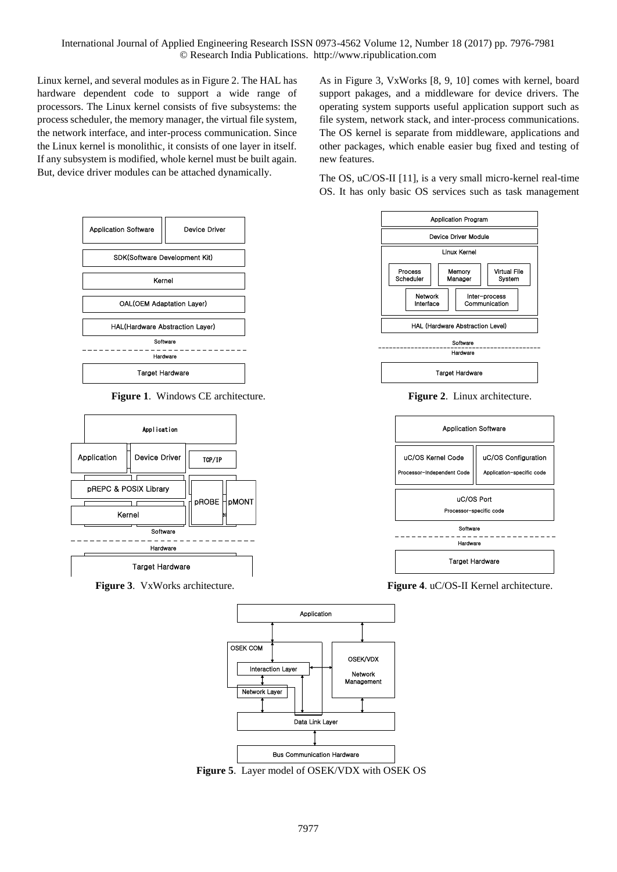Linux kernel, and several modules as in Figure 2. The HAL has hardware dependent code to support a wide range of processors. The Linux kernel consists of five subsystems: the process scheduler, the memory manager, the virtual file system, the network interface, and inter-process communication. Since the Linux kernel is monolithic, it consists of one layer in itself. If any subsystem is modified, whole kernel must be built again. But, device driver modules can be attached dynamically.





As in Figure 3, VxWorks [8, 9, 10] comes with kernel, board support pakages, and a middleware for device drivers. The operating system supports useful application support such as file system, network stack, and inter-process communications. The OS kernel is separate from middleware, applications and other packages, which enable easier bug fixed and testing of new features.

The OS, uC/OS-II [11], is a very small micro-kernel real-time OS. It has only basic OS services such as task management





**Figure 3**. VxWorks architecture. **Figure 4**. uC/OS-II Kernel architecture.



**Figure 5**. Layer model of OSEK/VDX with OSEK OS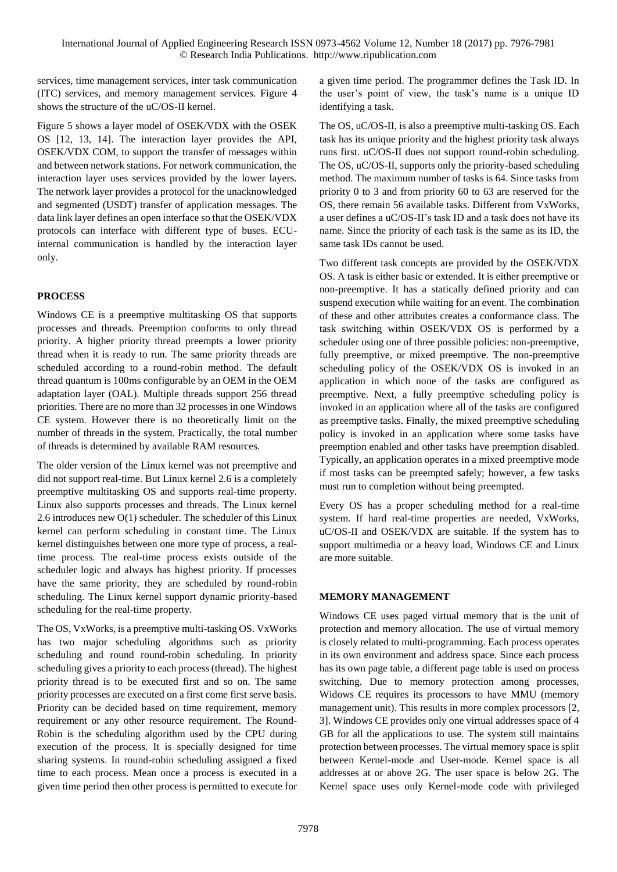services, time management services, inter task communication (ITC) services, and memory management services. Figure 4 shows the structure of the uC/OS-II kernel.

Figure 5 shows a layer model of OSEK/VDX with the OSEK OS [12, 13, 14]. The interaction layer provides the API, OSEK/VDX COM, to support the transfer of messages within and between network stations. For network communication, the interaction layer uses services provided by the lower layers. The network layer provides a protocol for the unacknowledged and segmented (USDT) transfer of application messages. The data link layer defines an open interface so that the OSEK/VDX protocols can interface with different type of buses. ECUinternal communication is handled by the interaction layer only.

# **PROCESS**

Windows CE is a preemptive multitasking OS that supports processes and threads. Preemption conforms to only thread priority. A higher priority thread preempts a lower priority thread when it is ready to run. The same priority threads are scheduled according to a round-robin method. The default thread quantum is 100ms configurable by an OEM in the OEM adaptation layer (OAL). Multiple threads support 256 thread priorities. There are no more than 32 processes in one Windows CE system. However there is no theoretically limit on the number of threads in the system. Practically, the total number of threads is determined by available RAM resources.

The older version of the Linux kernel was not preemptive and did not support real-time. But Linux kernel 2.6 is a completely preemptive multitasking OS and supports real-time property. Linux also supports processes and threads. The Linux kernel 2.6 introduces new O(1) scheduler. The scheduler of this Linux kernel can perform scheduling in constant time. The Linux kernel distinguishes between one more type of process, a realtime process. The real-time process exists outside of the scheduler logic and always has highest priority. If processes have the same priority, they are scheduled by round-robin scheduling. The Linux kernel support dynamic priority-based scheduling for the real-time property.

The OS, VxWorks, is a preemptive multi-tasking OS. VxWorks has two major scheduling algorithms such as priority scheduling and round round-robin scheduling. In priority scheduling gives a priority to each process (thread). The highest priority thread is to be executed first and so on. The same priority processes are executed on a first come first serve basis. Priority can be decided based on time requirement, memory requirement or any other resource requirement. The Round-Robin is the scheduling algorithm used by the CPU during execution of the process. It is specially designed for time sharing systems. In round-robin scheduling assigned a fixed time to each process. Mean once a process is executed in a given time period then other process is permitted to execute for a given time period. The programmer defines the Task ID. In the user's point of view, the task's name is a unique ID identifying a task.

The OS, uC/OS-II, is also a preemptive multi-tasking OS. Each task has its unique priority and the highest priority task always runs first. uC/OS-II does not support round-robin scheduling. The OS, uC/OS-II, supports only the priority-based scheduling method. The maximum number of tasks is 64. Since tasks from priority 0 to 3 and from priority 60 to 63 are reserved for the OS, there remain 56 available tasks. Different from VxWorks, a user defines a uC/OS-II's task ID and a task does not have its name. Since the priority of each task is the same as its ID, the same task IDs cannot be used.

Two different task concepts are provided by the OSEK/VDX OS. A task is either basic or extended. It is either preemptive or non-preemptive. It has a statically defined priority and can suspend execution while waiting for an event. The combination of these and other attributes creates a conformance class. The task switching within OSEK/VDX OS is performed by a scheduler using one of three possible policies: non-preemptive, fully preemptive, or mixed preemptive. The non-preemptive scheduling policy of the OSEK/VDX OS is invoked in an application in which none of the tasks are configured as preemptive. Next, a fully preemptive scheduling policy is invoked in an application where all of the tasks are configured as preemptive tasks. Finally, the mixed preemptive scheduling policy is invoked in an application where some tasks have preemption enabled and other tasks have preemption disabled. Typically, an application operates in a mixed preemptive mode if most tasks can be preempted safely; however, a few tasks must run to completion without being preempted.

Every OS has a proper scheduling method for a real-time system. If hard real-time properties are needed, VxWorks, uC/OS-II and OSEK/VDX are suitable. If the system has to support multimedia or a heavy load, Windows CE and Linux are more suitable.

# **MEMORY MANAGEMENT**

Windows CE uses paged virtual memory that is the unit of protection and memory allocation. The use of virtual memory is closely related to multi-programming. Each process operates in its own environment and address space. Since each process has its own page table, a different page table is used on process switching. Due to memory protection among processes, Widows CE requires its processors to have MMU (memory management unit). This results in more complex processors [2, 3]. Windows CE provides only one virtual addresses space of 4 GB for all the applications to use. The system still maintains protection between processes. The virtual memory space is split between Kernel-mode and User-mode. Kernel space is all addresses at or above 2G. The user space is below 2G. The Kernel space uses only Kernel-mode code with privileged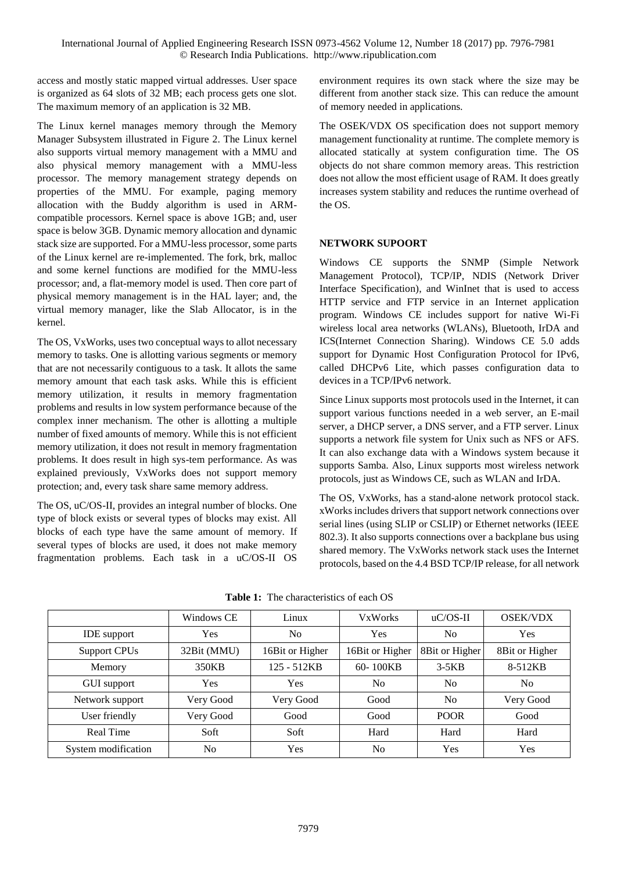access and mostly static mapped virtual addresses. User space is organized as 64 slots of 32 MB; each process gets one slot. The maximum memory of an application is 32 MB.

The Linux kernel manages memory through the Memory Manager Subsystem illustrated in Figure 2. The Linux kernel also supports virtual memory management with a MMU and also physical memory management with a MMU-less processor. The memory management strategy depends on properties of the MMU. For example, paging memory allocation with the Buddy algorithm is used in ARMcompatible processors. Kernel space is above 1GB; and, user space is below 3GB. Dynamic memory allocation and dynamic stack size are supported. For a MMU-less processor, some parts of the Linux kernel are re-implemented. The fork, brk, malloc and some kernel functions are modified for the MMU-less processor; and, a flat-memory model is used. Then core part of physical memory management is in the HAL layer; and, the virtual memory manager, like the Slab Allocator, is in the kernel.

The OS, VxWorks, uses two conceptual ways to allot necessary memory to tasks. One is allotting various segments or memory that are not necessarily contiguous to a task. It allots the same memory amount that each task asks. While this is efficient memory utilization, it results in memory fragmentation problems and results in low system performance because of the complex inner mechanism. The other is allotting a multiple number of fixed amounts of memory. While this is not efficient memory utilization, it does not result in memory fragmentation problems. It does result in high sys-tem performance. As was explained previously, VxWorks does not support memory protection; and, every task share same memory address.

The OS, uC/OS-II, provides an integral number of blocks. One type of block exists or several types of blocks may exist. All blocks of each type have the same amount of memory. If several types of blocks are used, it does not make memory fragmentation problems. Each task in a uC/OS-II OS environment requires its own stack where the size may be different from another stack size. This can reduce the amount of memory needed in applications.

The OSEK/VDX OS specification does not support memory management functionality at runtime. The complete memory is allocated statically at system configuration time. The OS objects do not share common memory areas. This restriction does not allow the most efficient usage of RAM. It does greatly increases system stability and reduces the runtime overhead of the OS.

# **NETWORK SUPOORT**

Windows CE supports the SNMP (Simple Network Management Protocol), TCP/IP, NDIS (Network Driver Interface Specification), and WinInet that is used to access HTTP service and FTP service in an Internet application program. Windows CE includes support for native Wi-Fi wireless local area networks (WLANs), Bluetooth, IrDA and ICS(Internet Connection Sharing). Windows CE 5.0 adds support for Dynamic Host Configuration Protocol for IPv6, called DHCPv6 Lite, which passes configuration data to devices in a TCP/IPv6 network.

Since Linux supports most protocols used in the Internet, it can support various functions needed in a web server, an E-mail server, a DHCP server, a DNS server, and a FTP server. Linux supports a network file system for Unix such as NFS or AFS. It can also exchange data with a Windows system because it supports Samba. Also, Linux supports most wireless network protocols, just as Windows CE, such as WLAN and IrDA.

The OS, VxWorks, has a stand-alone network protocol stack. xWorks includes drivers that support network connections over serial lines (using SLIP or CSLIP) or Ethernet networks (IEEE 802.3). It also supports connections over a backplane bus using shared memory. The VxWorks network stack uses the Internet protocols, based on the 4.4 BSD TCP/IP release, for all network

|                     | Windows CE     | Linux           | <b>VxWorks</b>  | $uC/OS-II$     | <b>OSEK/VDX</b> |
|---------------------|----------------|-----------------|-----------------|----------------|-----------------|
| <b>IDE</b> support  | Yes            | No              | Yes             | No             | <b>Yes</b>      |
| <b>Support CPUs</b> | 32Bit (MMU)    | 16Bit or Higher | 16Bit or Higher | 8Bit or Higher | 8Bit or Higher  |
| Memory              | 350KB          | 125 - 512KB     | 60-100KB        | $3-5KB$        | 8-512KB         |
| GUI support         | Yes            | Yes             | N <sub>o</sub>  | N <sub>0</sub> | N <sub>0</sub>  |
| Network support     | Very Good      | Very Good       | Good            | N <sub>0</sub> | Very Good       |
| User friendly       | Very Good      | Good            | Good            | <b>POOR</b>    | Good            |
| Real Time           | Soft           | Soft            | Hard            | Hard           | Hard            |
| System modification | N <sub>o</sub> | Yes             | N <sub>o</sub>  | Yes            | Yes             |

**Table 1:** The characteristics of each OS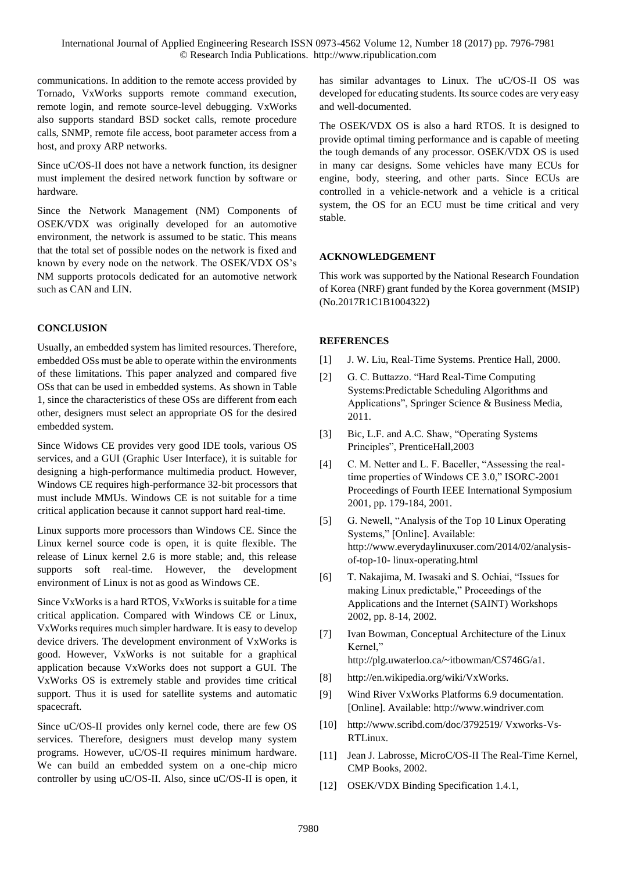communications. In addition to the remote access provided by Tornado, VxWorks supports remote command execution, remote login, and remote source-level debugging. VxWorks also supports standard BSD socket calls, remote procedure calls, SNMP, remote file access, boot parameter access from a host, and proxy ARP networks.

Since uC/OS-II does not have a network function, its designer must implement the desired network function by software or hardware.

Since the Network Management (NM) Components of OSEK/VDX was originally developed for an automotive environment, the network is assumed to be static. This means that the total set of possible nodes on the network is fixed and known by every node on the network. The OSEK/VDX OS's NM supports protocols dedicated for an automotive network such as CAN and LIN.

### **CONCLUSION**

Usually, an embedded system has limited resources. Therefore, embedded OSs must be able to operate within the environments of these limitations. This paper analyzed and compared five OSs that can be used in embedded systems. As shown in Table 1, since the characteristics of these OSs are different from each other, designers must select an appropriate OS for the desired embedded system.

Since Widows CE provides very good IDE tools, various OS services, and a GUI (Graphic User Interface), it is suitable for designing a high-performance multimedia product. However, Windows CE requires high-performance 32-bit processors that must include MMUs. Windows CE is not suitable for a time critical application because it cannot support hard real-time.

Linux supports more processors than Windows CE. Since the Linux kernel source code is open, it is quite flexible. The release of Linux kernel 2.6 is more stable; and, this release supports soft real-time. However, the development environment of Linux is not as good as Windows CE.

Since VxWorks is a hard RTOS, VxWorks is suitable for a time critical application. Compared with Windows CE or Linux, VxWorks requires much simpler hardware. It is easy to develop device drivers. The development environment of VxWorks is good. However, VxWorks is not suitable for a graphical application because VxWorks does not support a GUI. The VxWorks OS is extremely stable and provides time critical support. Thus it is used for satellite systems and automatic spacecraft.

Since uC/OS-II provides only kernel code, there are few OS services. Therefore, designers must develop many system programs. However, uC/OS-II requires minimum hardware. We can build an embedded system on a one-chip micro controller by using uC/OS-II. Also, since uC/OS-II is open, it has similar advantages to Linux. The uC/OS-II OS was developed for educating students. Its source codes are very easy and well-documented.

The OSEK/VDX OS is also a hard RTOS. It is designed to provide optimal timing performance and is capable of meeting the tough demands of any processor. OSEK/VDX OS is used in many car designs. Some vehicles have many ECUs for engine, body, steering, and other parts. Since ECUs are controlled in a vehicle-network and a vehicle is a critical system, the OS for an ECU must be time critical and very stable.

#### **ACKNOWLEDGEMENT**

This work was supported by the National Research Foundation of Korea (NRF) grant funded by the Korea government (MSIP) (No.2017R1C1B1004322)

# **REFERENCES**

- [1] J. W. Liu, Real-Time Systems. Prentice Hall, 2000.
- [2] G. C. Buttazzo. "Hard Real-Time Computing Systems:Predictable Scheduling Algorithms and Applications", Springer Science & Business Media, 2011.
- [3] Bic, L.F. and A.C. Shaw, "Operating Systems Principles", PrenticeHall,2003
- [4] C. M. Netter and L. F. Baceller, "Assessing the realtime properties of Windows CE 3.0," ISORC-2001 Proceedings of Fourth IEEE International Symposium 2001, pp. 179-184, 2001.
- [5] G. Newell, "Analysis of the Top 10 Linux Operating Systems," [Online]. Available: [http://www.everydaylinuxuser.com/2014/02/analysis](http://www.everydaylinuxuser.com/2014/02/analysis-of-top-10-%20linux-operating.html)[of-top-10- linux-operating.html](http://www.everydaylinuxuser.com/2014/02/analysis-of-top-10-%20linux-operating.html)
- [6] T. Nakajima, M. Iwasaki and S. Ochiai, "Issues for making Linux predictable," Proceedings of the Applications and the Internet (SAINT) Workshops 2002, pp. 8-14, 2002.
- [7] Ivan Bowman, Conceptual Architecture of the Linux Kernel,"
	- http://plg.uwaterloo.ca/~itbowman/CS746G/a1.
- [8] http://en.wikipedia.org/wiki/VxWorks.
- [9] Wind River VxWorks Platforms 6.9 documentation. [Online]. Available: [http://www.windriver.com](http://www.windriver.com/)
- [10] http://www.scribd.com/doc/3792519/ Vxworks-Vs-RTLinux.
- [11] Jean J. Labrosse, MicroC/OS-II The Real-Time Kernel, CMP Books, 2002.
- [12] OSEK/VDX Binding Specification 1.4.1,